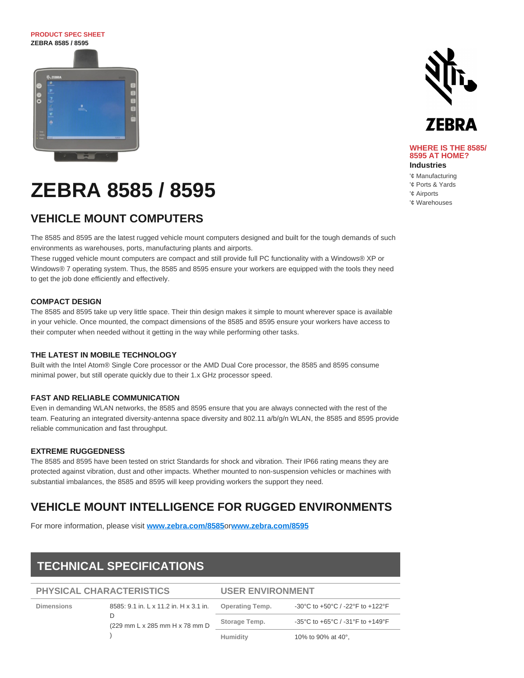# **PRODUCT SPEC SHEET ZEBRA 8585 / 8595**



# **VEHICLE MOUNT COMPUTERS**

The 8585 and 8595 are the latest rugged vehicle mount computers designed and built for the tough demands of such environments as warehouses, ports, manufacturing plants and airports.

These rugged vehicle mount computers are compact and still provide full PC functionality with a Windows® XP or Windows® 7 operating system. Thus, the 8585 and 8595 ensure your workers are equipped with the tools they need to get the job done efficiently and effectively.

# **COMPACT DESIGN**

The 8585 and 8595 take up very little space. Their thin design makes it simple to mount wherever space is available in your vehicle. Once mounted, the compact dimensions of the 8585 and 8595 ensure your workers have access to their computer when needed without it getting in the way while performing other tasks.

## **THE LATEST IN MOBILE TECHNOLOGY**

Built with the Intel Atom® Single Core processor or the AMD Dual Core processor, the 8585 and 8595 consume minimal power, but still operate quickly due to their 1.x GHz processor speed.

## **FAST AND RELIABLE COMMUNICATION**

Even in demanding WLAN networks, the 8585 and 8595 ensure that you are always connected with the rest of the team. Featuring an integrated diversity-antenna space diversity and 802.11 a/b/g/n WLAN, the 8585 and 8595 provide reliable communication and fast throughput.

# **EXTREME RUGGEDNESS**

The 8585 and 8595 have been tested on strict Standards for shock and vibration. Their IP66 rating means they are protected against vibration, dust and other impacts. Whether mounted to non-suspension vehicles or machines with substantial imbalances, the 8585 and 8595 will keep providing workers the support they need.

# **VEHICLE MOUNT INTELLIGENCE FOR RUGGED ENVIRONMENTS**

For more information, please visit **[www.zebra.com/8585](http://www.zebra.com/8585)**or**[www.zebra.com/8595](http://www.zebra.com/8595)**

# **TECHNICAL SPECIFICATIONS**

**PHYSICAL CHARACTERISTICS**

# **USER ENVIRONMENT**

| ___________________________________ |                                        | _________________________ |                                  |
|-------------------------------------|----------------------------------------|---------------------------|----------------------------------|
| <b>Dimensions</b>                   | 8585: 9.1 in. L x 11.2 in. H x 3.1 in. | <b>Operating Temp.</b>    | -30°C to +50°C / -22°F to +122°F |
|                                     | (229 mm L x 285 mm H x 78 mm D         | Storage Temp.             | -35°C to +65°C / -31°F to +149°F |
|                                     |                                        | Humidity                  | 10% to 90% at 40°.               |



#### **WHERE IS THE 8585/ 8595 AT HOME? Industries**

'¢ Manufacturing

'¢ Ports & Yards

'¢ Airports

'¢ Warehouses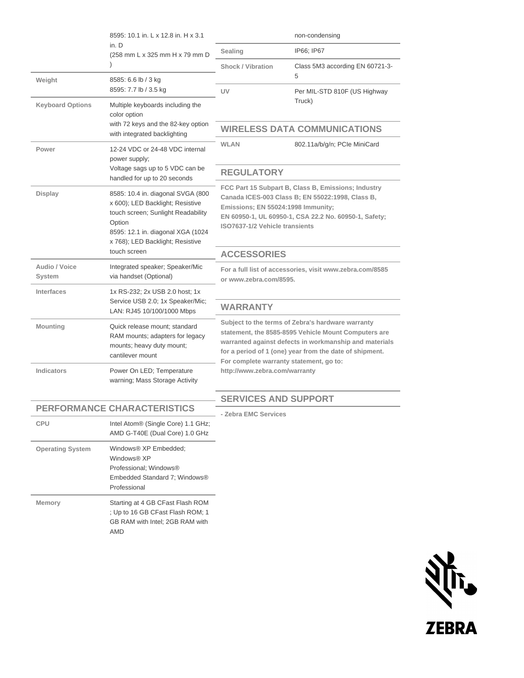|                         | 8595: 10.1 in. L x 12.8 in. H x 3.1<br>in. D<br>(258 mm L x 325 mm H x 79 mm D                                                                                                                 | non-condensing                                                                                                                                                                                                                                                                                             |                                      |
|-------------------------|------------------------------------------------------------------------------------------------------------------------------------------------------------------------------------------------|------------------------------------------------------------------------------------------------------------------------------------------------------------------------------------------------------------------------------------------------------------------------------------------------------------|--------------------------------------|
|                         |                                                                                                                                                                                                | Sealing                                                                                                                                                                                                                                                                                                    | IP66; IP67                           |
|                         |                                                                                                                                                                                                | <b>Shock / Vibration</b>                                                                                                                                                                                                                                                                                   | Class 5M3 according EN 60721-3-<br>5 |
| Weight                  | 8585: 6.6 lb / 3 kg<br>8595: 7.7 lb / 3.5 kg                                                                                                                                                   | UV                                                                                                                                                                                                                                                                                                         | Per MIL-STD 810F (US Highway         |
| <b>Keyboard Options</b> | Multiple keyboards including the<br>color option<br>with 72 keys and the 82-key option<br>with integrated backlighting                                                                         | Truck)                                                                                                                                                                                                                                                                                                     |                                      |
|                         |                                                                                                                                                                                                | <b>WIRELESS DATA COMMUNICATIONS</b>                                                                                                                                                                                                                                                                        |                                      |
| Power                   | 12-24 VDC or 24-48 VDC internal<br>power supply;<br>Voltage sags up to 5 VDC can be<br>handled for up to 20 seconds                                                                            | <b>WLAN</b>                                                                                                                                                                                                                                                                                                | 802.11a/b/g/n; PCIe MiniCard         |
|                         |                                                                                                                                                                                                | <b>REGULATORY</b>                                                                                                                                                                                                                                                                                          |                                      |
| Display                 | 8585: 10.4 in. diagonal SVGA (800<br>x 600); LED Backlight; Resistive<br>touch screen; Sunlight Readability<br>Option<br>8595: 12.1 in. diagonal XGA (1024<br>x 768); LED Backlight; Resistive | FCC Part 15 Subpart B, Class B, Emissions; Industry<br>Canada ICES-003 Class B; EN 55022:1998, Class B,<br>Emissions; EN 55024:1998 Immunity;<br>EN 60950-1, UL 60950-1, CSA 22.2 No. 60950-1, Safety;<br>ISO7637-1/2 Vehicle transients                                                                   |                                      |
|                         | touch screen                                                                                                                                                                                   | <b>ACCESSORIES</b>                                                                                                                                                                                                                                                                                         |                                      |
| Audio / Voice<br>System | Integrated speaker; Speaker/Mic<br>via handset (Optional)                                                                                                                                      | For a full list of accessories, visit www.zebra.com/8585<br>or www.zebra.com/8595.                                                                                                                                                                                                                         |                                      |
| Interfaces              | 1x RS-232; 2x USB 2.0 host; 1x<br>Service USB 2.0; 1x Speaker/Mic;<br>LAN: RJ45 10/100/1000 Mbps                                                                                               |                                                                                                                                                                                                                                                                                                            |                                      |
|                         |                                                                                                                                                                                                | <b>WARRANTY</b>                                                                                                                                                                                                                                                                                            |                                      |
| Mounting                | Quick release mount; standard<br>RAM mounts; adapters for legacy<br>mounts; heavy duty mount;<br>cantilever mount                                                                              | Subject to the terms of Zebra's hardware warranty<br>statement, the 8585-8595 Vehicle Mount Computers are<br>warranted against defects in workmanship and materials<br>for a period of 1 (one) year from the date of shipment.<br>For complete warranty statement, go to:<br>http://www.zebra.com/warranty |                                      |
| <b>Indicators</b>       | Power On LED; Temperature<br>warning; Mass Storage Activity                                                                                                                                    |                                                                                                                                                                                                                                                                                                            |                                      |
|                         |                                                                                                                                                                                                | <b>SERVICES AND SUPPORT</b>                                                                                                                                                                                                                                                                                |                                      |
|                         | <b>PERFORMANCE CHARACTERISTICS</b>                                                                                                                                                             | - Zebra EMC Services                                                                                                                                                                                                                                                                                       |                                      |
| CPU                     | Intel Atom® (Single Core) 1.1 GHz;<br>AMD G-T40E (Dual Core) 1.0 GHz                                                                                                                           |                                                                                                                                                                                                                                                                                                            |                                      |
| <b>Operating System</b> | Windows® XP Embedded;<br>Windows® XP<br>Professional; Windows®<br>Embedded Standard 7; Windows®<br>Professional                                                                                |                                                                                                                                                                                                                                                                                                            |                                      |
| Memory                  | Starting at 4 GB CFast Flash ROM<br>; Up to 16 GB CFast Flash ROM; 1<br>GB RAM with Intel; 2GB RAM with<br>AMD                                                                                 |                                                                                                                                                                                                                                                                                                            |                                      |